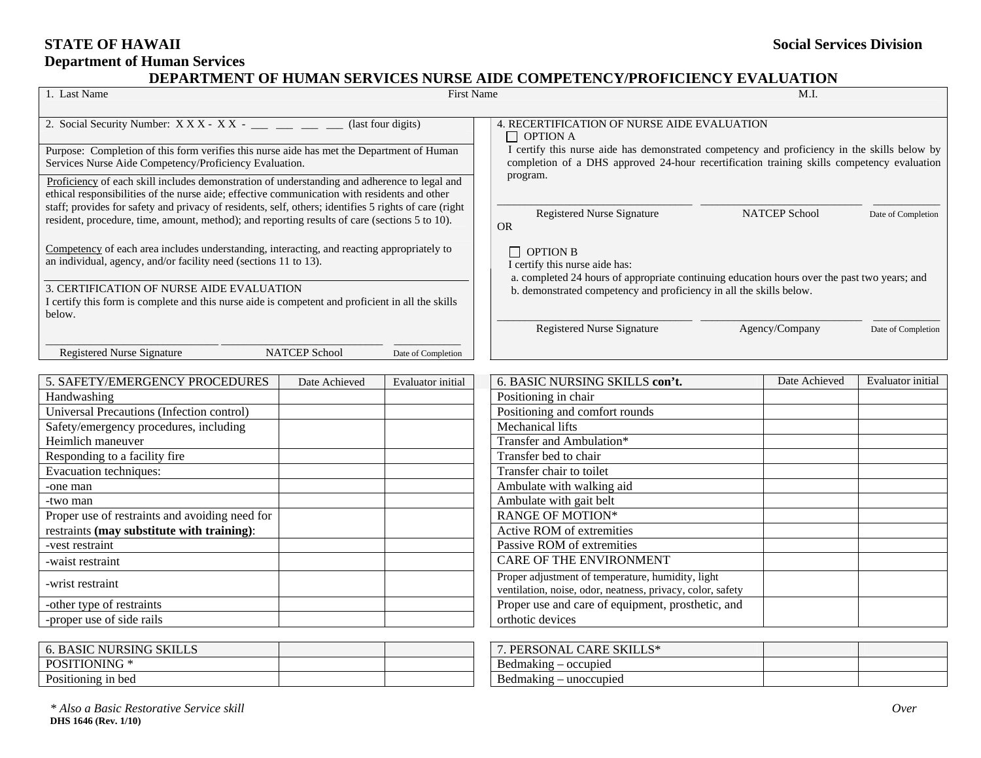## **STATE OF HAWAII Social Services Division**

**Department of Human Services** 

|                                                                                                                                                                                                                                                                                                                                                                                                        |               |                                                                                                                                                                                            | <b>DEPARTMENT OF HUMAN SERVICES NURSE AIDE COMPETENCY/PROFICIENCY EVALUATION</b>                                                                                                                                         |                    |                    |
|--------------------------------------------------------------------------------------------------------------------------------------------------------------------------------------------------------------------------------------------------------------------------------------------------------------------------------------------------------------------------------------------------------|---------------|--------------------------------------------------------------------------------------------------------------------------------------------------------------------------------------------|--------------------------------------------------------------------------------------------------------------------------------------------------------------------------------------------------------------------------|--------------------|--------------------|
| 1. Last Name                                                                                                                                                                                                                                                                                                                                                                                           |               | <b>First Name</b>                                                                                                                                                                          |                                                                                                                                                                                                                          | M.I.               |                    |
|                                                                                                                                                                                                                                                                                                                                                                                                        |               |                                                                                                                                                                                            |                                                                                                                                                                                                                          |                    |                    |
|                                                                                                                                                                                                                                                                                                                                                                                                        |               | (last four digits)                                                                                                                                                                         | 4. RECERTIFICATION OF NURSE AIDE EVALUATION<br>$\Box$ OPTION A                                                                                                                                                           |                    |                    |
| Purpose: Completion of this form verifies this nurse aide has met the Department of Human<br>Services Nurse Aide Competency/Proficiency Evaluation.                                                                                                                                                                                                                                                    |               | I certify this nurse aide has demonstrated competency and proficiency in the skills below by<br>completion of a DHS approved 24-hour recertification training skills competency evaluation |                                                                                                                                                                                                                          |                    |                    |
| Proficiency of each skill includes demonstration of understanding and adherence to legal and<br>ethical responsibilities of the nurse aide; effective communication with residents and other<br>staff; provides for safety and privacy of residents, self, others; identifies 5 rights of care (right<br>resident, procedure, time, amount, method); and reporting results of care (sections 5 to 10). |               | program.<br><b>Registered Nurse Signature</b><br><b>OR</b>                                                                                                                                 | <b>NATCEP School</b>                                                                                                                                                                                                     | Date of Completion |                    |
| Competency of each area includes understanding, interacting, and reacting appropriately to<br>an individual, agency, and/or facility need (sections 11 to 13).<br>3. CERTIFICATION OF NURSE AIDE EVALUATION<br>I certify this form is complete and this nurse aide is competent and proficient in all the skills                                                                                       |               |                                                                                                                                                                                            | $\Box$ OPTION B<br>I certify this nurse aide has:<br>a. completed 24 hours of appropriate continuing education hours over the past two years; and<br>b. demonstrated competency and proficiency in all the skills below. |                    |                    |
| below.                                                                                                                                                                                                                                                                                                                                                                                                 |               |                                                                                                                                                                                            | Registered Nurse Signature                                                                                                                                                                                               | Agency/Company     | Date of Completion |
|                                                                                                                                                                                                                                                                                                                                                                                                        |               |                                                                                                                                                                                            |                                                                                                                                                                                                                          |                    |                    |
| Registered Nurse Signature                                                                                                                                                                                                                                                                                                                                                                             | NATCEP School | Date of Completion                                                                                                                                                                         |                                                                                                                                                                                                                          |                    |                    |
| 5. SAFETY/EMERGENCY PROCEDURES                                                                                                                                                                                                                                                                                                                                                                         | Date Achieved | Evaluator initial                                                                                                                                                                          | 6. BASIC NURSING SKILLS con't.                                                                                                                                                                                           | Date Achieved      | Evaluator initial  |
| Handwashing                                                                                                                                                                                                                                                                                                                                                                                            |               |                                                                                                                                                                                            | Positioning in chair                                                                                                                                                                                                     |                    |                    |
| Universal Precautions (Infection control)                                                                                                                                                                                                                                                                                                                                                              |               |                                                                                                                                                                                            | Positioning and comfort rounds                                                                                                                                                                                           |                    |                    |
| Safety/emergency procedures, including                                                                                                                                                                                                                                                                                                                                                                 |               |                                                                                                                                                                                            | Mechanical lifts                                                                                                                                                                                                         |                    |                    |
| Heimlich maneuver                                                                                                                                                                                                                                                                                                                                                                                      |               |                                                                                                                                                                                            | Transfer and Ambulation*                                                                                                                                                                                                 |                    |                    |
| Responding to a facility fire                                                                                                                                                                                                                                                                                                                                                                          |               |                                                                                                                                                                                            | Transfer bed to chair                                                                                                                                                                                                    |                    |                    |
| Evacuation techniques:                                                                                                                                                                                                                                                                                                                                                                                 |               |                                                                                                                                                                                            | Transfer chair to toilet                                                                                                                                                                                                 |                    |                    |
| -one man                                                                                                                                                                                                                                                                                                                                                                                               |               |                                                                                                                                                                                            | Ambulate with walking aid                                                                                                                                                                                                |                    |                    |
| -two man                                                                                                                                                                                                                                                                                                                                                                                               |               |                                                                                                                                                                                            | Ambulate with gait belt                                                                                                                                                                                                  |                    |                    |
| Proper use of restraints and avoiding need for                                                                                                                                                                                                                                                                                                                                                         |               |                                                                                                                                                                                            | <b>RANGE OF MOTION*</b>                                                                                                                                                                                                  |                    |                    |
| restraints (may substitute with training):                                                                                                                                                                                                                                                                                                                                                             |               |                                                                                                                                                                                            | Active ROM of extremities                                                                                                                                                                                                |                    |                    |
| -vest restraint                                                                                                                                                                                                                                                                                                                                                                                        |               |                                                                                                                                                                                            | Passive ROM of extremities                                                                                                                                                                                               |                    |                    |
| -waist restraint                                                                                                                                                                                                                                                                                                                                                                                       |               |                                                                                                                                                                                            | <b>CARE OF THE ENVIRONMENT</b>                                                                                                                                                                                           |                    |                    |
| -wrist restraint                                                                                                                                                                                                                                                                                                                                                                                       |               |                                                                                                                                                                                            | Proper adjustment of temperature, humidity, light<br>ventilation, noise, odor, neatness, privacy, color, safety                                                                                                          |                    |                    |
| -other type of restraints                                                                                                                                                                                                                                                                                                                                                                              |               |                                                                                                                                                                                            | Proper use and care of equipment, prosthetic, and                                                                                                                                                                        |                    |                    |
| -proper use of side rails                                                                                                                                                                                                                                                                                                                                                                              |               |                                                                                                                                                                                            | orthotic devices                                                                                                                                                                                                         |                    |                    |
|                                                                                                                                                                                                                                                                                                                                                                                                        |               |                                                                                                                                                                                            |                                                                                                                                                                                                                          |                    |                    |
| <b>6. BASIC NURSING SKILLS</b>                                                                                                                                                                                                                                                                                                                                                                         |               |                                                                                                                                                                                            | 7. PERSONAL CARE SKILLS*                                                                                                                                                                                                 |                    |                    |
| POSITIONING *                                                                                                                                                                                                                                                                                                                                                                                          |               |                                                                                                                                                                                            | Bedmaking – occupied                                                                                                                                                                                                     |                    |                    |

Positioning in bed **Bedmaking – unoccupied** Bedmaking – unoccupied